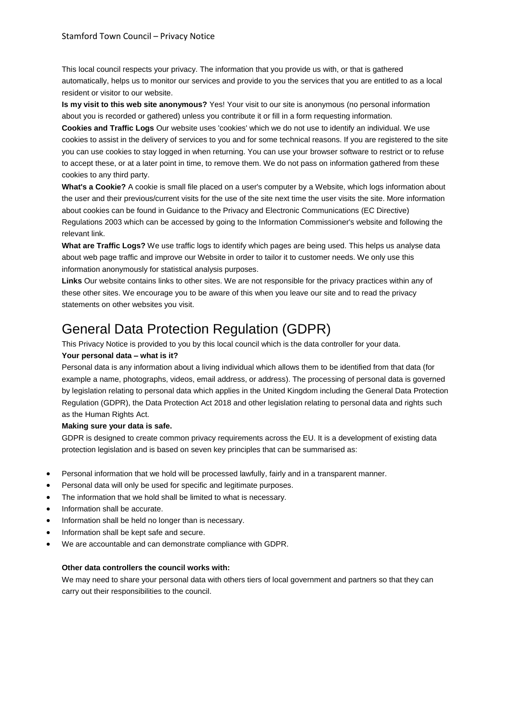This local council respects your privacy. The information that you provide us with, or that is gathered automatically, helps us to monitor our services and provide to you the services that you are entitled to as a local resident or visitor to our website.

**Is my visit to this web site anonymous?** Yes! Your visit to our site is anonymous (no personal information about you is recorded or gathered) unless you contribute it or fill in a form requesting information.

**Cookies and Traffic Logs** Our website uses 'cookies' which we do not use to identify an individual. We use cookies to assist in the delivery of services to you and for some technical reasons. If you are registered to the site you can use cookies to stay logged in when returning. You can use your browser software to restrict or to refuse to accept these, or at a later point in time, to remove them. We do not pass on information gathered from these cookies to any third party.

**What's a Cookie?** A cookie is small file placed on a user's computer by a Website, which logs information about the user and their previous/current visits for the use of the site next time the user visits the site. More information about cookies can be found in Guidance to the Privacy and Electronic Communications (EC Directive) Regulations 2003 which can be accessed by going to the Information Commissioner's website and following the relevant link.

**What are Traffic Logs?** We use traffic logs to identify which pages are being used. This helps us analyse data about web page traffic and improve our Website in order to tailor it to customer needs. We only use this information anonymously for statistical analysis purposes.

**Links** Our website contains links to other sites. We are not responsible for the privacy practices within any of these other sites. We encourage you to be aware of this when you leave our site and to read the privacy statements on other websites you visit.

# General Data Protection Regulation (GDPR)

This Privacy Notice is provided to you by this local council which is the data controller for your data.

# **Your personal data – what is it?**

Personal data is any information about a living individual which allows them to be identified from that data (for example a name, photographs, videos, email address, or address). The processing of personal data is governed by legislation relating to personal data which applies in the United Kingdom including the General Data Protection Regulation (GDPR), the Data Protection Act 2018 and other legislation relating to personal data and rights such as the Human Rights Act.

# **Making sure your data is safe.**

GDPR is designed to create common privacy requirements across the EU. It is a development of existing data protection legislation and is based on seven key principles that can be summarised as:

- Personal information that we hold will be processed lawfully, fairly and in a transparent manner.
- Personal data will only be used for specific and legitimate purposes.
- The information that we hold shall be limited to what is necessary.
- Information shall be accurate.
- Information shall be held no longer than is necessary.
- Information shall be kept safe and secure.
- We are accountable and can demonstrate compliance with GDPR.

# **Other data controllers the council works with:**

We may need to share your personal data with others tiers of local government and partners so that they can carry out their responsibilities to the council.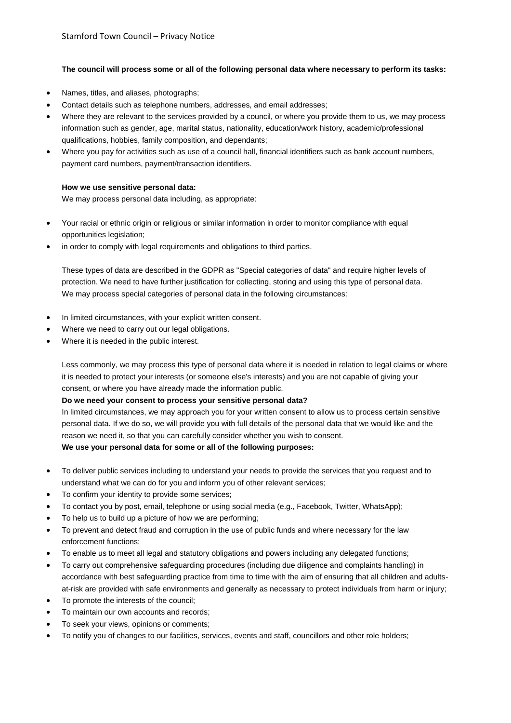## **The council will process some or all of the following personal data where necessary to perform its tasks:**

- Names, titles, and aliases, photographs;
- Contact details such as telephone numbers, addresses, and email addresses;
- Where they are relevant to the services provided by a council, or where you provide them to us, we may process information such as gender, age, marital status, nationality, education/work history, academic/professional qualifications, hobbies, family composition, and dependants;
- Where you pay for activities such as use of a council hall, financial identifiers such as bank account numbers, payment card numbers, payment/transaction identifiers.

## **How we use sensitive personal data:**

We may process personal data including, as appropriate:

- Your racial or ethnic origin or religious or similar information in order to monitor compliance with equal opportunities legislation;
- in order to comply with legal requirements and obligations to third parties.

These types of data are described in the GDPR as "Special categories of data" and require higher levels of protection. We need to have further justification for collecting, storing and using this type of personal data. We may process special categories of personal data in the following circumstances:

- In limited circumstances, with your explicit written consent.
- Where we need to carry out our legal obligations.
- Where it is needed in the public interest.

Less commonly, we may process this type of personal data where it is needed in relation to legal claims or where it is needed to protect your interests (or someone else's interests) and you are not capable of giving your consent, or where you have already made the information public.

## **Do we need your consent to process your sensitive personal data?**

In limited circumstances, we may approach you for your written consent to allow us to process certain sensitive personal data. If we do so, we will provide you with full details of the personal data that we would like and the reason we need it, so that you can carefully consider whether you wish to consent.

- **We use your personal data for some or all of the following purposes:**
- To deliver public services including to understand your needs to provide the services that you request and to understand what we can do for you and inform you of other relevant services;
- To confirm your identity to provide some services;
- To contact you by post, email, telephone or using social media (e.g., Facebook, Twitter, WhatsApp);
- To help us to build up a picture of how we are performing;
- To prevent and detect fraud and corruption in the use of public funds and where necessary for the law enforcement functions;
- To enable us to meet all legal and statutory obligations and powers including any delegated functions;
- To carry out comprehensive safeguarding procedures (including due diligence and complaints handling) in accordance with best safeguarding practice from time to time with the aim of ensuring that all children and adultsat-risk are provided with safe environments and generally as necessary to protect individuals from harm or injury;
- To promote the interests of the council;
- To maintain our own accounts and records;
- To seek your views, opinions or comments;
- To notify you of changes to our facilities, services, events and staff, councillors and other role holders;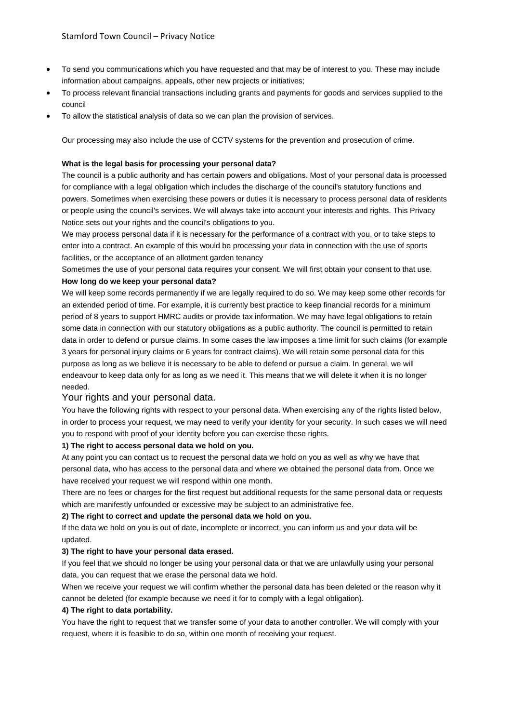- To send you communications which you have requested and that may be of interest to you. These may include information about campaigns, appeals, other new projects or initiatives;
- To process relevant financial transactions including grants and payments for goods and services supplied to the council
- To allow the statistical analysis of data so we can plan the provision of services.

Our processing may also include the use of CCTV systems for the prevention and prosecution of crime.

#### **What is the legal basis for processing your personal data?**

The council is a public authority and has certain powers and obligations. Most of your personal data is processed for compliance with a legal obligation which includes the discharge of the council's statutory functions and powers. Sometimes when exercising these powers or duties it is necessary to process personal data of residents or people using the council's services. We will always take into account your interests and rights. This Privacy Notice sets out your rights and the council's obligations to you.

We may process personal data if it is necessary for the performance of a contract with you, or to take steps to enter into a contract. An example of this would be processing your data in connection with the use of sports facilities, or the acceptance of an allotment garden tenancy

Sometimes the use of your personal data requires your consent. We will first obtain your consent to that use. **How long do we keep your personal data?**

We will keep some records permanently if we are legally required to do so. We may keep some other records for an extended period of time. For example, it is currently best practice to keep financial records for a minimum period of 8 years to support HMRC audits or provide tax information. We may have legal obligations to retain some data in connection with our statutory obligations as a public authority. The council is permitted to retain data in order to defend or pursue claims. In some cases the law imposes a time limit for such claims (for example 3 years for personal injury claims or 6 years for contract claims). We will retain some personal data for this purpose as long as we believe it is necessary to be able to defend or pursue a claim. In general, we will endeavour to keep data only for as long as we need it. This means that we will delete it when it is no longer needed.

## Your rights and your personal data.

You have the following rights with respect to your personal data. When exercising any of the rights listed below, in order to process your request, we may need to verify your identity for your security. In such cases we will need you to respond with proof of your identity before you can exercise these rights.

#### **1) The right to access personal data we hold on you.**

At any point you can contact us to request the personal data we hold on you as well as why we have that personal data, who has access to the personal data and where we obtained the personal data from. Once we have received your request we will respond within one month.

There are no fees or charges for the first request but additional requests for the same personal data or requests which are manifestly unfounded or excessive may be subject to an administrative fee.

## **2) The right to correct and update the personal data we hold on you.**

If the data we hold on you is out of date, incomplete or incorrect, you can inform us and your data will be updated.

#### **3) The right to have your personal data erased.**

If you feel that we should no longer be using your personal data or that we are unlawfully using your personal data, you can request that we erase the personal data we hold.

When we receive your request we will confirm whether the personal data has been deleted or the reason why it cannot be deleted (for example because we need it for to comply with a legal obligation).

## **4) The right to data portability.**

You have the right to request that we transfer some of your data to another controller. We will comply with your request, where it is feasible to do so, within one month of receiving your request.